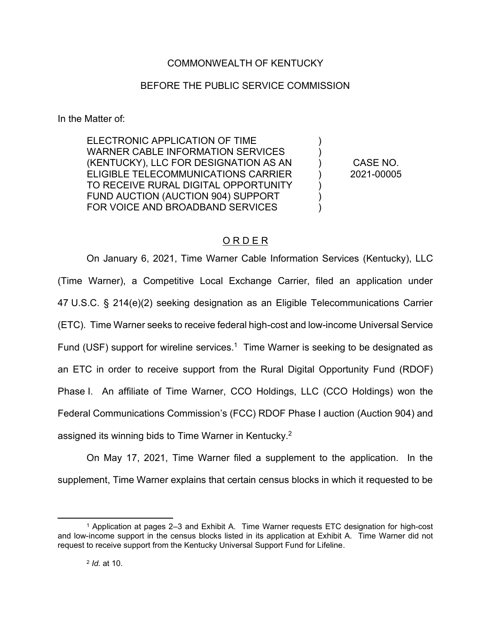# COMMONWEALTH OF KENTUCKY

# BEFORE THE PUBLIC SERVICE COMMISSION

In the Matter of:

ELECTRONIC APPLICATION OF TIME WARNER CABLE INFORMATION SERVICES (KENTUCKY), LLC FOR DESIGNATION AS AN ELIGIBLE TELECOMMUNICATIONS CARRIER TO RECEIVE RURAL DIGITAL OPPORTUNITY FUND AUCTION (AUCTION 904) SUPPORT FOR VOICE AND BROADBAND SERVICES

CASE NO. 2021-00005

) ) ) ) ) ) )

# O R D E R

On January 6, 2021, Time Warner Cable Information Services (Kentucky), LLC (Time Warner), a Competitive Local Exchange Carrier, filed an application under 47 U.S.C. § 214(e)(2) seeking designation as an Eligible Telecommunications Carrier (ETC). Time Warner seeks to receive federal high-cost and low-income Universal Service Fund (USF) support for wireline services.<sup>1</sup> Time Warner is seeking to be designated as an ETC in order to receive support from the Rural Digital Opportunity Fund (RDOF) Phase I. An affiliate of Time Warner, CCO Holdings, LLC (CCO Holdings) won the Federal Communications Commission's (FCC) RDOF Phase I auction (Auction 904) and assigned its winning bids to Time Warner in Kentucky.<sup>2</sup>

On May 17, 2021, Time Warner filed a supplement to the application. In the supplement, Time Warner explains that certain census blocks in which it requested to be

<sup>1</sup> Application at pages 2–3 and Exhibit A. Time Warner requests ETC designation for high-cost and low-income support in the census blocks listed in its application at Exhibit A. Time Warner did not request to receive support from the Kentucky Universal Support Fund for Lifeline.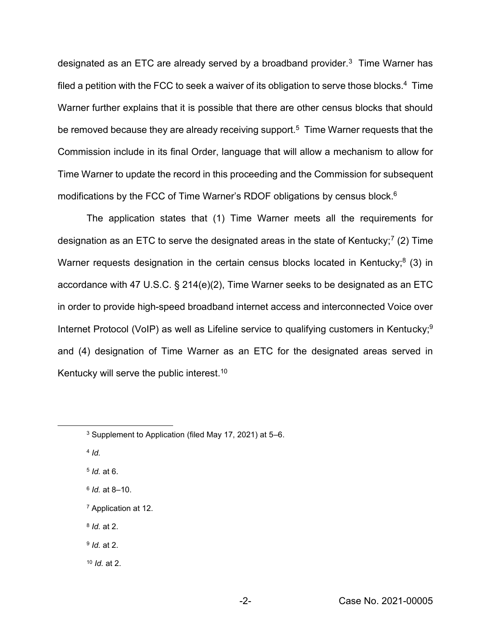designated as an ETC are already served by a broadband provider.3 Time Warner has filed a petition with the FCC to seek a waiver of its obligation to serve those blocks.<sup>4</sup> Time Warner further explains that it is possible that there are other census blocks that should be removed because they are already receiving support.<sup>5</sup> Time Warner requests that the Commission include in its final Order, language that will allow a mechanism to allow for Time Warner to update the record in this proceeding and the Commission for subsequent modifications by the FCC of Time Warner's RDOF obligations by census block. 6

The application states that (1) Time Warner meets all the requirements for designation as an ETC to serve the designated areas in the state of Kentucky;<sup>7</sup> (2) Time Warner requests designation in the certain census blocks located in Kentucky; $8$  (3) in accordance with 47 U.S.C. § 214(e)(2), Time Warner seeks to be designated as an ETC in order to provide high-speed broadband internet access and interconnected Voice over Internet Protocol (VoIP) as well as Lifeline service to qualifying customers in Kentucky;<sup>9</sup> and (4) designation of Time Warner as an ETC for the designated areas served in Kentucky will serve the public interest.<sup>10</sup>

<sup>10</sup> *Id.* at 2.

<sup>3</sup> Supplement to Application (filed May 17, 2021) at 5–6.

<sup>4</sup> *Id.*

<sup>5</sup> *Id.* at 6.

<sup>6</sup> *Id.* at 8–10.

<sup>7</sup> Application at 12.

<sup>8</sup> *Id.* at 2.

<sup>9</sup> *Id.* at 2.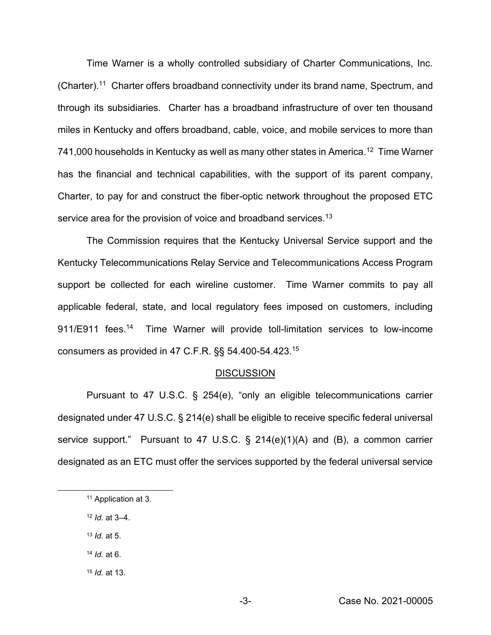Time Warner is a wholly controlled subsidiary of Charter Communications, Inc. (Charter).<sup>11</sup> Charter offers broadband connectivity under its brand name, Spectrum, and through its subsidiaries. Charter has a broadband infrastructure of over ten thousand miles in Kentucky and offers broadband, cable, voice, and mobile services to more than 741,000 households in Kentucky as well as many other states in America.<sup>12</sup> Time Warner has the financial and technical capabilities, with the support of its parent company, Charter, to pay for and construct the fiber-optic network throughout the proposed ETC service area for the provision of voice and broadband services.<sup>13</sup>

The Commission requires that the Kentucky Universal Service support and the Kentucky Telecommunications Relay Service and Telecommunications Access Program support be collected for each wireline customer. Time Warner commits to pay all applicable federal, state, and local regulatory fees imposed on customers, including 911/E911 fees.<sup>14</sup> Time Warner will provide toll-limitation services to low-income consumers as provided in 47 C.F.R. §§ 54.400-54.423.15

#### **DISCUSSION**

Pursuant to 47 U.S.C. § 254(e), "only an eligible telecommunications carrier designated under 47 U.S.C. § 214(e) shall be eligible to receive specific federal universal service support." Pursuant to 47 U.S.C. § 214(e)(1)(A) and (B), a common carrier designated as an ETC must offer the services supported by the federal universal service

- <sup>13</sup> *Id.* at 5.
- <sup>14</sup> *Id.* at 6.
- <sup>15</sup> *Id.* at 13.

<sup>11</sup> Application at 3.

<sup>12</sup> *Id.* at 3–4.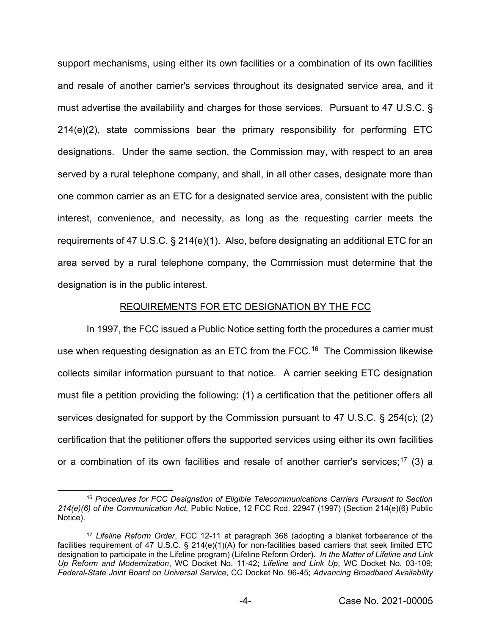support mechanisms, using either its own facilities or a combination of its own facilities and resale of another carrier's services throughout its designated service area, and it must advertise the availability and charges for those services. Pursuant to 47 U.S.C. § 214(e)(2), state commissions bear the primary responsibility for performing ETC designations. Under the same section, the Commission may, with respect to an area served by a rural telephone company, and shall, in all other cases, designate more than one common carrier as an ETC for a designated service area, consistent with the public interest, convenience, and necessity, as long as the requesting carrier meets the requirements of 47 U.S.C. § 214(e)(1). Also, before designating an additional ETC for an area served by a rural telephone company, the Commission must determine that the designation is in the public interest.

#### REQUIREMENTS FOR ETC DESIGNATION BY THE FCC

In 1997, the FCC issued a Public Notice setting forth the procedures a carrier must use when requesting designation as an ETC from the FCC.<sup>16</sup> The Commission likewise collects similar information pursuant to that notice. A carrier seeking ETC designation must file a petition providing the following: (1) a certification that the petitioner offers all services designated for support by the Commission pursuant to 47 U.S.C. § 254(c); (2) certification that the petitioner offers the supported services using either its own facilities or a combination of its own facilities and resale of another carrier's services;<sup>17</sup> (3) a

<sup>16</sup> *Procedures for FCC Designation of Eligible Telecommunications Carriers Pursuant to Section 214(e)(6) of the Communication Act,* Public Notice, 12 FCC Rcd. 22947 (1997) (Section 214(e)(6) Public Notice).

<sup>17</sup> *Lifeline Reform Order*, FCC 12-11 at paragraph 368 (adopting a blanket forbearance of the facilities requirement of 47 U.S.C. § 214(e)(1)(A) for non-facilities based carriers that seek limited ETC designation to participate in the Lifeline program) (Lifeline Reform Order). *In the Matter of Lifeline and Link Up Reform and Modernization*, WC Docket No. 11-42; *Lifeline and Link Up*, WC Docket No. 03-109; *Federal-State Joint Board on Universal Service*, CC Docket No. 96-45; *Advancing Broadband Availability*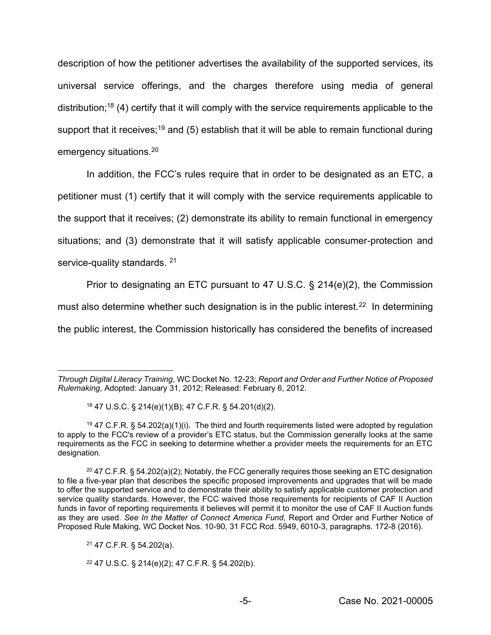description of how the petitioner advertises the availability of the supported services, its universal service offerings, and the charges therefore using media of general distribution;18 (4) certify that it will comply with the service requirements applicable to the support that it receives;<sup>19</sup> and (5) establish that it will be able to remain functional during emergency situations.20

In addition, the FCC's rules require that in order to be designated as an ETC, a petitioner must (1) certify that it will comply with the service requirements applicable to the support that it receives; (2) demonstrate its ability to remain functional in emergency situations; and (3) demonstrate that it will satisfy applicable consumer-protection and service-quality standards. <sup>21</sup>

Prior to designating an ETC pursuant to 47 U.S.C. § 214(e)(2), the Commission must also determine whether such designation is in the public interest.<sup>22</sup> In determining the public interest, the Commission historically has considered the benefits of increased

*Through Digital Literacy Training*, WC Docket No. 12-23; *Report and Order and Further Notice of Proposed Rulemaking*, Adopted: January 31, 2012; Released: February 6, 2012.

<sup>18</sup> 47 U.S.C. § 214(e)(1)(B); 47 C.F.R. § 54.201(d)(2).

<sup>&</sup>lt;sup>19</sup> 47 C.F.R. § 54.202(a)(1)(i). The third and fourth requirements listed were adopted by regulation to apply to the FCC's review of a provider's ETC status, but the Commission generally looks at the same requirements as the FCC in seeking to determine whether a provider meets the requirements for an ETC designation.

 $20$  47 C.F.R. § 54.202(a)(2); Notably, the FCC generally requires those seeking an ETC designation to file a five-year plan that describes the specific proposed improvements and upgrades that will be made to offer the supported service and to demonstrate their ability to satisfy applicable customer protection and service quality standards. However, the FCC waived those requirements for recipients of CAF II Auction funds in favor of reporting requirements it believes will permit it to monitor the use of CAF II Auction funds as they are used. *See In the Matter of Connect America Fund,* Report and Order and Further Notice of Proposed Rule Making, WC Docket Nos. 10-90, 31 FCC Rcd. 5949, 6010-3, paragraphs. 172-8 (2016).

<sup>21</sup> 47 C.F.R. § 54.202(a).

<sup>22</sup> 47 U.S.C. § 214(e)(2); 47 C.F.R. § 54.202(b).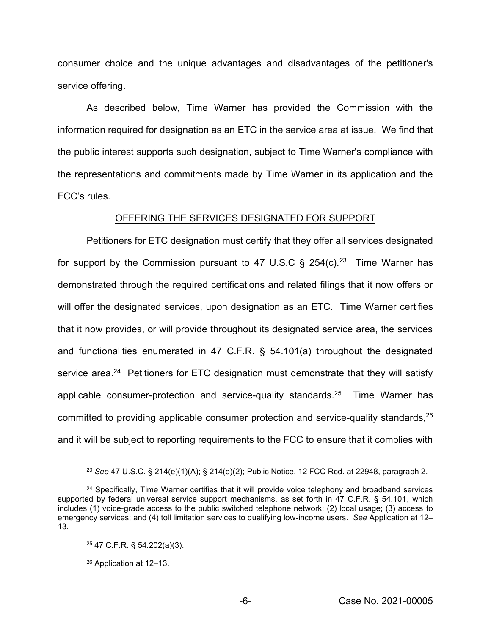consumer choice and the unique advantages and disadvantages of the petitioner's service offering.

As described below, Time Warner has provided the Commission with the information required for designation as an ETC in the service area at issue. We find that the public interest supports such designation, subject to Time Warner's compliance with the representations and commitments made by Time Warner in its application and the FCC's rules.

#### OFFERING THE SERVICES DESIGNATED FOR SUPPORT

Petitioners for ETC designation must certify that they offer all services designated for support by the Commission pursuant to 47 U.S.C  $\S$  254(c).<sup>23</sup> Time Warner has demonstrated through the required certifications and related filings that it now offers or will offer the designated services, upon designation as an ETC. Time Warner certifies that it now provides, or will provide throughout its designated service area, the services and functionalities enumerated in 47 C.F.R. § 54.101(a) throughout the designated service area.<sup>24</sup> Petitioners for ETC designation must demonstrate that they will satisfy applicable consumer-protection and service-quality standards.25 Time Warner has committed to providing applicable consumer protection and service-quality standards, <sup>26</sup> and it will be subject to reporting requirements to the FCC to ensure that it complies with

<sup>23</sup> *See* 47 U.S.C. § 214(e)(1)(A); § 214(e)(2); Public Notice, 12 FCC Rcd. at 22948, paragraph 2.

<sup>&</sup>lt;sup>24</sup> Specifically, Time Warner certifies that it will provide voice telephony and broadband services supported by federal universal service support mechanisms, as set forth in 47 C.F.R. § 54.101, which includes (1) voice-grade access to the public switched telephone network; (2) local usage; (3) access to emergency services; and (4) toll limitation services to qualifying low-income users. *See* Application at 12– 13.

<sup>25</sup> 47 C.F.R. § 54.202(a)(3).

<sup>26</sup> Application at 12–13.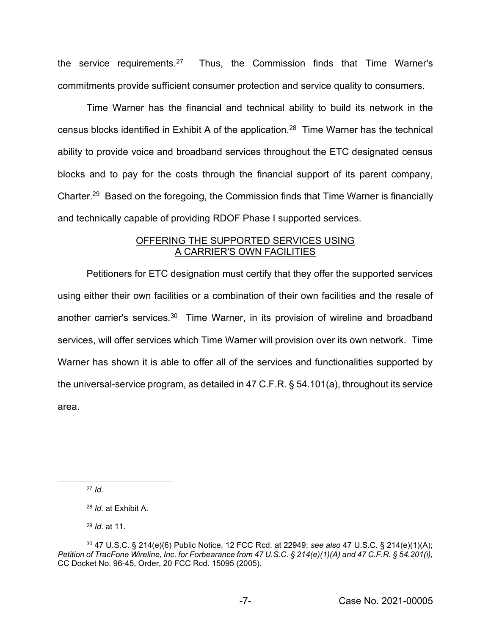the service requirements.27 Thus, the Commission finds that Time Warner's commitments provide sufficient consumer protection and service quality to consumers.

Time Warner has the financial and technical ability to build its network in the census blocks identified in Exhibit A of the application.28 Time Warner has the technical ability to provide voice and broadband services throughout the ETC designated census blocks and to pay for the costs through the financial support of its parent company, Charter.<sup>29</sup> Based on the foregoing, the Commission finds that Time Warner is financially and technically capable of providing RDOF Phase I supported services.

# **OFFERING THE SUPPORTED SERVICES USING** A CARRIER'S OWN FACILITIES

Petitioners for ETC designation must certify that they offer the supported services using either their own facilities or a combination of their own facilities and the resale of another carrier's services.<sup>30</sup> Time Warner, in its provision of wireline and broadband services, will offer services which Time Warner will provision over its own network. Time Warner has shown it is able to offer all of the services and functionalities supported by the universal-service program, as detailed in 47 C.F.R. § 54.101(a), throughout its service area.

<sup>27</sup> *Id.*

<sup>28</sup> *Id.* at Exhibit A.

<sup>29</sup> *Id.* at 11.

<sup>30</sup> 47 U.S.C. § 214(e)(6) Public Notice, 12 FCC Rcd. at 22949; *see also* 47 U.S.C. § 214(e)(1)(A); *Petition of TracFone Wireline, Inc. for Forbearance from 47 U.S.C. § 214(e)(1)(A) and 47 C.F.R. § 54.201(i),*  CC Docket No. 96-45, Order, 20 FCC Rcd. 15095 (2005)*.*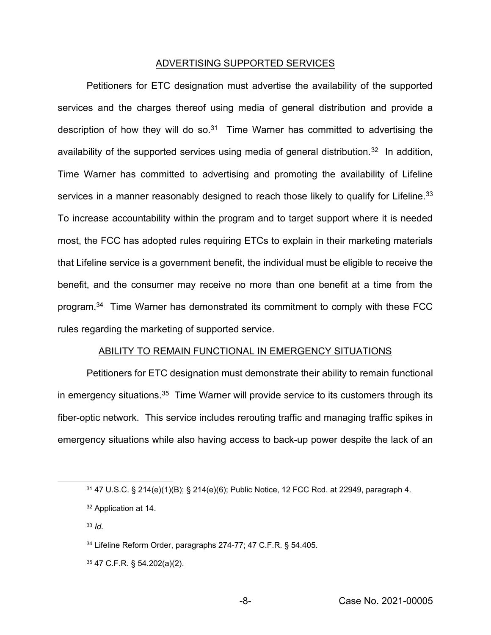#### ADVERTISING SUPPORTED SERVICES

Petitioners for ETC designation must advertise the availability of the supported services and the charges thereof using media of general distribution and provide a description of how they will do so. $31$  Time Warner has committed to advertising the availability of the supported services using media of general distribution.<sup>32</sup> In addition, Time Warner has committed to advertising and promoting the availability of Lifeline services in a manner reasonably designed to reach those likely to qualify for Lifeline.<sup>33</sup> To increase accountability within the program and to target support where it is needed most, the FCC has adopted rules requiring ETCs to explain in their marketing materials that Lifeline service is a government benefit, the individual must be eligible to receive the benefit, and the consumer may receive no more than one benefit at a time from the program.34 Time Warner has demonstrated its commitment to comply with these FCC rules regarding the marketing of supported service.

### ABILITY TO REMAIN FUNCTIONAL IN EMERGENCY SITUATIONS

Petitioners for ETC designation must demonstrate their ability to remain functional in emergency situations.<sup>35</sup> Time Warner will provide service to its customers through its fiber-optic network. This service includes rerouting traffic and managing traffic spikes in emergency situations while also having access to back-up power despite the lack of an

- <sup>33</sup> *Id.*
- <sup>34</sup> Lifeline Reform Order, paragraphs 274-77; 47 C.F.R. § 54.405.
- <sup>35</sup> 47 C.F.R. § 54.202(a)(2).

<sup>31</sup> 47 U.S.C. § 214(e)(1)(B); § 214(e)(6); Public Notice, 12 FCC Rcd. at 22949, paragraph 4.

<sup>32</sup> Application at 14.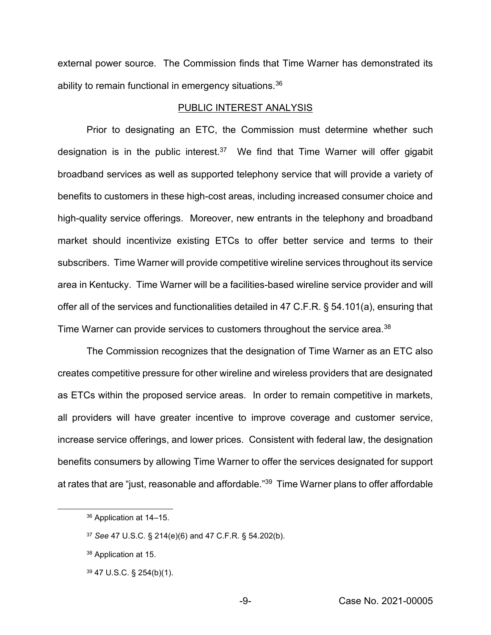external power source. The Commission finds that Time Warner has demonstrated its ability to remain functional in emergency situations.<sup>36</sup>

#### PUBLIC INTEREST ANALYSIS

Prior to designating an ETC, the Commission must determine whether such designation is in the public interest.<sup>37</sup> We find that Time Warner will offer gigabit broadband services as well as supported telephony service that will provide a variety of benefits to customers in these high-cost areas, including increased consumer choice and high-quality service offerings. Moreover, new entrants in the telephony and broadband market should incentivize existing ETCs to offer better service and terms to their subscribers. Time Warner will provide competitive wireline services throughout its service area in Kentucky. Time Warner will be a facilities-based wireline service provider and will offer all of the services and functionalities detailed in 47 C.F.R. § 54.101(a), ensuring that Time Warner can provide services to customers throughout the service area.<sup>38</sup>

The Commission recognizes that the designation of Time Warner as an ETC also creates competitive pressure for other wireline and wireless providers that are designated as ETCs within the proposed service areas. In order to remain competitive in markets, all providers will have greater incentive to improve coverage and customer service, increase service offerings, and lower prices. Consistent with federal law, the designation benefits consumers by allowing Time Warner to offer the services designated for support at rates that are "just, reasonable and affordable."<sup>39</sup> Time Warner plans to offer affordable

<sup>36</sup> Application at 14–15.

<sup>37</sup> *See* 47 U.S.C. § 214(e)(6) and 47 C.F.R. § 54.202(b).

<sup>38</sup> Application at 15.

<sup>39</sup> 47 U.S.C. § 254(b)(1).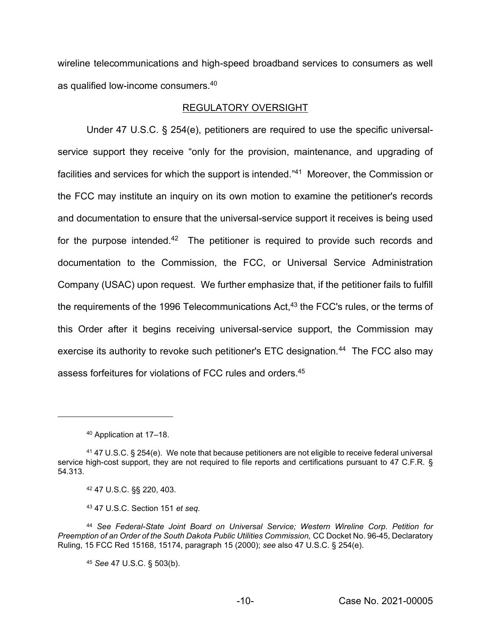wireline telecommunications and high-speed broadband services to consumers as well as qualified low-income consumers.40

## REGULATORY OVERSIGHT

Under 47 U.S.C. § 254(e), petitioners are required to use the specific universalservice support they receive "only for the provision, maintenance, and upgrading of facilities and services for which the support is intended."<sup>41</sup> Moreover, the Commission or the FCC may institute an inquiry on its own motion to examine the petitioner's records and documentation to ensure that the universal-service support it receives is being used for the purpose intended.<sup>42</sup> The petitioner is required to provide such records and documentation to the Commission, the FCC, or Universal Service Administration Company (USAC) upon request. We further emphasize that, if the petitioner fails to fulfill the requirements of the 1996 Telecommunications Act,<sup>43</sup> the FCC's rules, or the terms of this Order after it begins receiving universal-service support, the Commission may exercise its authority to revoke such petitioner's ETC designation.<sup>44</sup> The FCC also may assess forfeitures for violations of FCC rules and orders.45

<sup>45</sup> *See* 47 U.S.C. § 503(b).

<sup>40</sup> Application at 17–18.

<sup>41</sup> 47 U.S.C. § 254(e). We note that because petitioners are not eligible to receive federal universal service high-cost support, they are not required to file reports and certifications pursuant to 47 C.F.R. § 54.313.

<sup>42</sup> 47 U.S.C. §§ 220, 403.

<sup>43</sup> 47 U.S.C. Section 151 *et seq.*

<sup>44</sup> *See Federal-State Joint Board on Universal Service; Western Wireline Corp. Petition for Preemption of an Order of the South Dakota Public Utilities Commission, CC Docket No. 96-45, Declaratory* Ruling, 15 FCC Red 15168, 15174, paragraph 15 (2000); *see* also 47 U.S.C. § 254(e).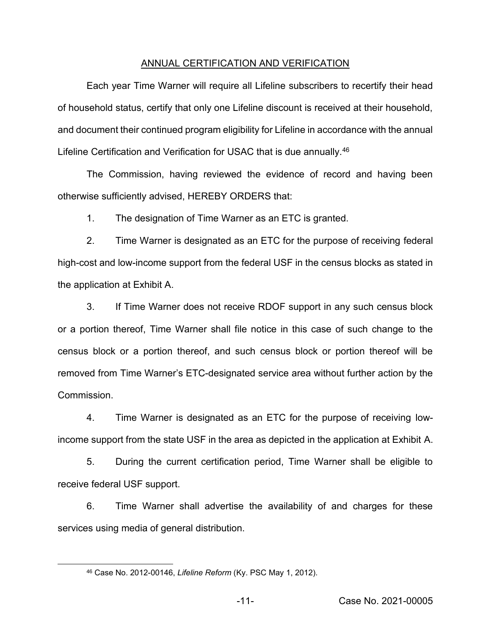#### ANNUAL CERTIFICATION AND VERIFICATION

Each year Time Warner will require all Lifeline subscribers to recertify their head of household status, certify that only one Lifeline discount is received at their household, and document their continued program eligibility for Lifeline in accordance with the annual Lifeline Certification and Verification for USAC that is due annually.<sup>46</sup>

The Commission, having reviewed the evidence of record and having been otherwise sufficiently advised, HEREBY ORDERS that:

1. The designation of Time Warner as an ETC is granted.

2. Time Warner is designated as an ETC for the purpose of receiving federal high-cost and low-income support from the federal USF in the census blocks as stated in the application at Exhibit A.

3. If Time Warner does not receive RDOF support in any such census block or a portion thereof, Time Warner shall file notice in this case of such change to the census block or a portion thereof, and such census block or portion thereof will be removed from Time Warner's ETC-designated service area without further action by the Commission.

4. Time Warner is designated as an ETC for the purpose of receiving lowincome support from the state USF in the area as depicted in the application at Exhibit A.

5. During the current certification period, Time Warner shall be eligible to receive federal USF support.

6. Time Warner shall advertise the availability of and charges for these services using media of general distribution.

<sup>46</sup> Case No. 2012-00146, *Lifeline Reform* (Ky. PSC May 1, 2012).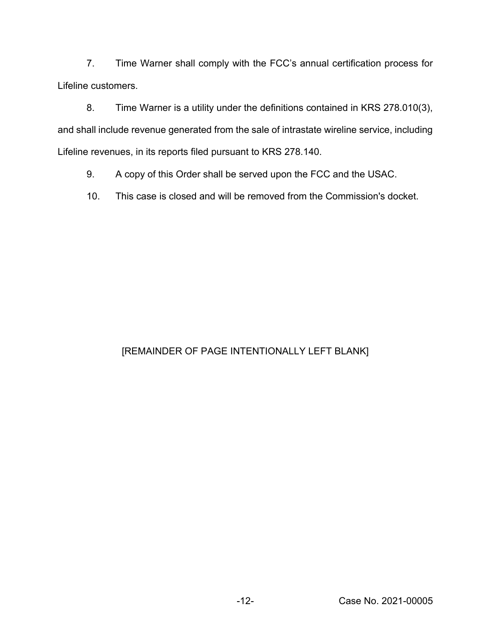7. Time Warner shall comply with the FCC's annual certification process for Lifeline customers.

8. Time Warner is a utility under the definitions contained in KRS 278.010(3), and shall include revenue generated from the sale of intrastate wireline service, including Lifeline revenues, in its reports filed pursuant to KRS 278.140.

9. A copy of this Order shall be served upon the FCC and the USAC.

10. This case is closed and will be removed from the Commission's docket.

# [REMAINDER OF PAGE INTENTIONALLY LEFT BLANK]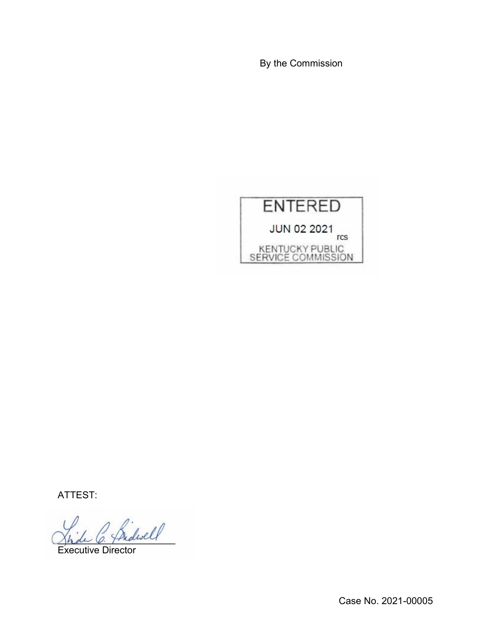By the Commission



ATTEST:

\_\_\_\_\_\_\_\_\_\_\_\_\_\_\_\_\_\_\_\_\_\_

Executive Director

Case No. 2021-00005